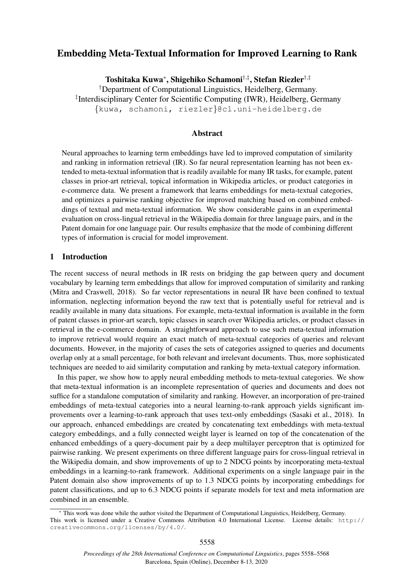# Embedding Meta-Textual Information for Improved Learning to Rank

Toshitaka Kuwa\*, Shigehiko Schamoni<sup>†,‡</sup>, Stefan Riezler<sup>†,‡</sup>

†Department of Computational Linguistics, Heidelberg, Germany. ‡ Interdisciplinary Center for Scientific Computing (IWR), Heidelberg, Germany {kuwa, schamoni, riezler}@cl.uni-heidelberg.de

### Abstract

Neural approaches to learning term embeddings have led to improved computation of similarity and ranking in information retrieval (IR). So far neural representation learning has not been extended to meta-textual information that is readily available for many IR tasks, for example, patent classes in prior-art retrieval, topical information in Wikipedia articles, or product categories in e-commerce data. We present a framework that learns embeddings for meta-textual categories, and optimizes a pairwise ranking objective for improved matching based on combined embeddings of textual and meta-textual information. We show considerable gains in an experimental evaluation on cross-lingual retrieval in the Wikipedia domain for three language pairs, and in the Patent domain for one language pair. Our results emphasize that the mode of combining different types of information is crucial for model improvement.

# 1 Introduction

The recent success of neural methods in IR rests on bridging the gap between query and document vocabulary by learning term embeddings that allow for improved computation of similarity and ranking (Mitra and Craswell, 2018). So far vector representations in neural IR have been confined to textual information, neglecting information beyond the raw text that is potentially useful for retrieval and is readily available in many data situations. For example, meta-textual information is available in the form of patent classes in prior-art search, topic classes in search over Wikipedia articles, or product classes in retrieval in the e-commerce domain. A straightforward approach to use such meta-textual information to improve retrieval would require an exact match of meta-textual categories of queries and relevant documents. However, in the majority of cases the sets of categories assigned to queries and documents overlap only at a small percentage, for both relevant and irrelevant documents. Thus, more sophisticated techniques are needed to aid similarity computation and ranking by meta-textual category information.

In this paper, we show how to apply neural embedding methods to meta-textual categories. We show that meta-textual information is an incomplete representation of queries and documents and does not suffice for a standalone computation of similarity and ranking. However, an incorporation of pre-trained embeddings of meta-textual categories into a neural learning-to-rank approach yields significant improvements over a learning-to-rank approach that uses text-only embeddings (Sasaki et al., 2018). In our approach, enhanced embeddings are created by concatenating text embeddings with meta-textual category embeddings, and a fully connected weight layer is learned on top of the concatenation of the enhanced embeddings of a query-document pair by a deep multilayer perceptron that is optimized for pairwise ranking. We present experiments on three different language pairs for cross-lingual retrieval in the Wikipedia domain, and show improvements of up to 2 NDCG points by incorporating meta-textual embeddings in a learning-to-rank framework. Additional experiments on a single language pair in the Patent domain also show improvements of up to 1.3 NDCG points by incorporating embeddings for patent classifications, and up to 6.3 NDCG points if separate models for text and meta information are combined in an ensemble.

This work was done while the author visited the Department of Computational Linguistics, Heidelberg, Germany. This work is licensed under a Creative Commons Attribution 4.0 International License. License details: http:// creativecommons.org/licenses/by/4.0/.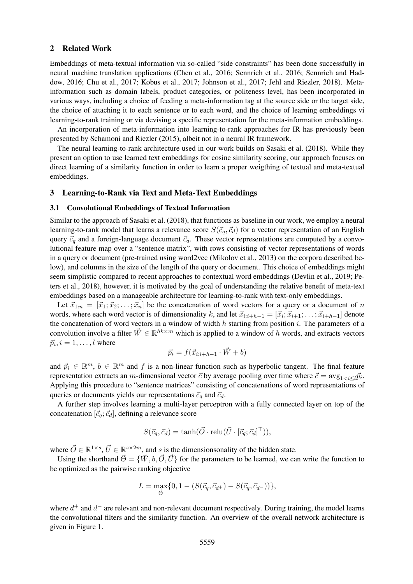#### 2 Related Work

Embeddings of meta-textual information via so-called "side constraints" has been done successfully in neural machine translation applications (Chen et al., 2016; Sennrich et al., 2016; Sennrich and Haddow, 2016; Chu et al., 2017; Kobus et al., 2017; Johnson et al., 2017; Jehl and Riezler, 2018). Metainformation such as domain labels, product categories, or politeness level, has been incorporated in various ways, including a choice of feeding a meta-information tag at the source side or the target side, the choice of attaching it to each sentence or to each word, and the choice of learning embeddings vi learning-to-rank training or via devising a specific representation for the meta-information embeddings.

An incorporation of meta-information into learning-to-rank approaches for IR has previously been presented by Schamoni and Riezler (2015), albeit not in a neural IR framework.

The neural learning-to-rank architecture used in our work builds on Sasaki et al. (2018). While they present an option to use learned text embeddings for cosine similarity scoring, our approach focuses on direct learning of a similarity function in order to learn a proper weigthing of textual and meta-textual embeddings.

### 3 Learning-to-Rank via Text and Meta-Text Embeddings

#### 3.1 Convolutional Embeddings of Textual Information

Similar to the approach of Sasaki et al. (2018), that functions as baseline in our work, we employ a neural learning-to-rank model that learns a relevance score  $S(\vec{c}_q, \vec{c}_d)$  for a vector representation of an English query  $\vec{c}_q$  and a foreign-language document  $\vec{c}_d$ . These vector representations are computed by a convolutional feature map over a "sentence matrix", with rows consisting of vector representations of words in a query or document (pre-trained using word2vec (Mikolov et al., 2013) on the corpora described below), and columns in the size of the length of the query or document. This choice of embeddings might seem simplistic compared to recent approaches to contextual word embeddings (Devlin et al., 2019; Peters et al., 2018), however, it is motivated by the goal of understanding the relative benefit of meta-text embeddings based on a manageable architecture for learning-to-rank with text-only embeddings.

Let  $\vec{x}_{1:n} = [\vec{x}_1; \vec{x}_2; \dots; \vec{x}_n]$  be the concatenation of word vectors for a query or a document of n words, where each word vector is of dimensionality k, and let  $\vec{x}_{i:i+h-1} = [\vec{x}_i; \vec{x}_{i+1}; \dots; \vec{x}_{i+h-1}]$  denote the concatenation of word vectors in a window of width  $h$  starting from position  $i$ . The parameters of a convolution involve a filter  $\vec{W} \in \mathbb{R}^{hk \times m}$  which is applied to a window of h words, and extracts vectors  $\vec{p}_i, i = 1, \ldots, l$  where

$$
\vec{p}_i = f(\vec{x}_{i:i+h-1} \cdot \vec{W} + b)
$$

and  $\vec{p}_i \in \mathbb{R}^m$ ,  $b \in \mathbb{R}^m$  and f is a non-linear function such as hyperbolic tangent. The final feature representation extracts an *m*-dimensional vector  $\vec{c}$  by average pooling over time where  $\vec{c} = \arg_{1 \le i \le l} \vec{p}_i$ . Applying this procedure to "sentence matrices" consisting of concatenations of word representations of queries or documents yields our representations  $\vec{c}_q$  and  $\vec{c}_d$ .

A further step involves learning a multi-layer perceptron with a fully connected layer on top of the concatenation  $[\vec{c}_q; \vec{c}_d]$ , defining a relevance score

$$
S(\vec{c}_q, \vec{c}_d) = \tanh(\vec{O} \cdot \text{relu}(\vec{U} \cdot [\vec{c}_q; \vec{c}_d]^\top)),
$$

where  $\vec{O} \in \mathbb{R}^{1 \times s}$ ,  $\vec{U} \in \mathbb{R}^{s \times 2m}$ , and s is the dimensionsonality of the hidden state.

Using the shorthand  $\vec{\Theta} = {\vec{W}, b, \vec{O}, \vec{U}}$  for the parameters to be learned, we can write the function to be optimized as the pairwise ranking objective

$$
L = \max_{\vec{\Theta}} \{ 0, 1 - (S(\vec{c}_q, \vec{c}_{d^+}) - S(\vec{c}_q, \vec{c}_{d^-})) \},\
$$

where  $d^+$  and  $d^-$  are relevant and non-relevant document respectively. During training, the model learns the convolutional filters and the similarity function. An overview of the overall network architecture is given in Figure 1.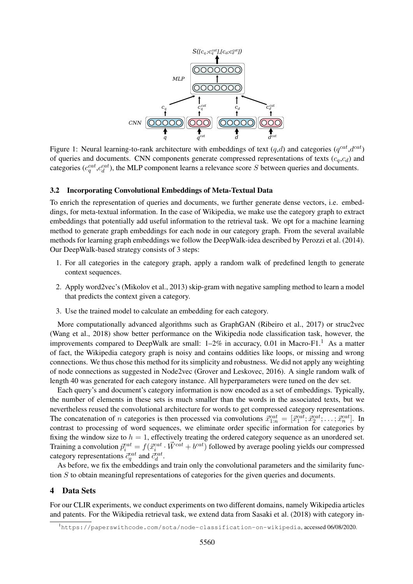

Figure 1: Neural learning-to-rank architecture with embeddings of text  $(q,d)$  and categories  $(q^{cat}, d^{cat})$ of queries and documents. CNN components generate compressed representations of texts  $(c_q, c_d)$  and categories ( $c_q^{cat}, c_d^{cat}$ ), the MLP component learns a relevance score S between queries and documents.

#### 3.2 Incorporating Convolutional Embeddings of Meta-Textual Data

To enrich the representation of queries and documents, we further generate dense vectors, i.e. embeddings, for meta-textual information. In the case of Wikipedia, we make use the category graph to extract embeddings that potentially add useful information to the retrieval task. We opt for a machine learning method to generate graph embeddings for each node in our category graph. From the several available methods for learning graph embeddings we follow the DeepWalk-idea described by Perozzi et al. (2014). Our DeepWalk-based strategy consists of 3 steps:

- 1. For all categories in the category graph, apply a random walk of predefined length to generate context sequences.
- 2. Apply word2vec's (Mikolov et al., 2013) skip-gram with negative sampling method to learn a model that predicts the context given a category.
- 3. Use the trained model to calculate an embedding for each category.

More computationally advanced algorithms such as GraphGAN (Ribeiro et al., 2017) or struc2vec (Wang et al., 2018) show better performance on the Wikipedia node classification task, however, the improvements compared to DeepWalk are small:  $1-2\%$  in accuracy, 0.01 in Macro-F1.<sup>1</sup> As a matter of fact, the Wikipedia category graph is noisy and contains oddities like loops, or missing and wrong connections. We thus chose this method for its simplicity and robustness. We did not apply any weighting of node connections as suggested in Node2vec (Grover and Leskovec, 2016). A single random walk of length 40 was generated for each category instance. All hyperparameters were tuned on the dev set.

*q*<sup>*at</sup>*<br>*d*<sup>*at</sup>*<br>*d*<sup>*ata</sup>*<br>childcture with embeddings of text (*q*<br>apponents generate compressed represent learns a relevance score *S* between<br>**Embeddings of Meta-Textual Data**<br>es and documents, we further generar<br>n </sup></sup></sup> Each query's and document's category information is now encoded as a set of embeddings. Typically, the number of elements in these sets is much smaller than the words in the associated texts, but we nevertheless reused the convolutional architecture for words to get compressed category representations. The concatenation of *n* categories is then processed via convolutions  $\vec{x}_{1:n}^{cat} = [\vec{x}_1^{cat}; \vec{x}_2^{cat}; \dots; \vec{x}_n^{cat}]$ . In contrast to processing of word sequences, we eliminate order specific information for categories by fixing the window size to  $h = 1$ , effectively treating the ordered category sequence as an unordered set. Training a convolution  $\bar{p}_i^{cat} = f(\vec{x}_i^{cat} \cdot \vec{W}^{cat} + b^{cat})$  followed by average pooling yields our compressed category representations  $\vec{c}_q^{cat}$  and  $\vec{c}_d^{cat}$ .

As before, we fix the embeddings and train only the convolutional parameters and the similarity function S to obtain meaningful representations of categories for the given queries and documents.

### 4 Data Sets

For our CLIR experiments, we conduct experiments on two different domains, namely Wikipedia articles and patents. For the Wikipedia retrieval task, we extend data from Sasaki et al. (2018) with category in-

<sup>1</sup>https://paperswithcode.com/sota/node-classification-on-wikipedia, accessed 06/08/2020.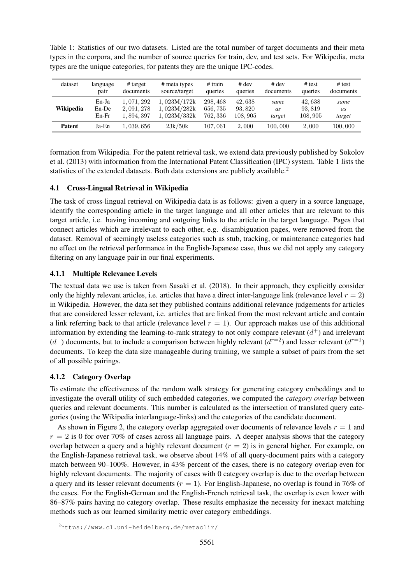| Table 1: Statistics of our two datasets. Listed are the total number of target documents and their meta   |  |
|-----------------------------------------------------------------------------------------------------------|--|
| types in the corpora, and the number of source queries for train, dev, and test sets. For Wikipedia, meta |  |
| types are the unique categories, for patents they are the unique IPC-codes.                               |  |

Table 1: Statistics of our two datasets. Listed are the total number of target documents and their meta

| dataset          | language | $#$ target  | # meta types  | # train  | $#$ dev | $#$ dev   | # test  | # test    |
|------------------|----------|-------------|---------------|----------|---------|-----------|---------|-----------|
|                  | pair     | documents   | source/target | queries  | queries | documents | queries | documents |
| <b>Wikipedia</b> | En-Ja    | 1.071.292   | 1.023M/172k   | 298, 468 | 42,638  | same      | 42,638  | same      |
|                  | En-De    | 2, 091, 278 | 1.023M/282k   | 656, 735 | 93.820  | as        | 93, 819 | as        |
|                  | $En-Fr$  | 1,894,397   | . 023M/332k   | 762, 336 | 108.905 | target    | 108,905 | target    |
| <b>Patent</b>    | Ja-En    | 1,039,656   | 23k/50k       | 107,061  | 2,000   | 100,000   | 2,000   | 100,000   |

formation from Wikipedia. For the patent retrieval task, we extend data previously published by Sokolov et al. (2013) with information from the International Patent Classification (IPC) system. Table 1 lists the statistics of the extended datasets. Both data extensions are publicly available.<sup>2</sup>

# 4.1 Cross-Lingual Retrieval in Wikipedia

The task of cross-lingual retrieval on Wikipedia data is as follows: given a query in a source language, identify the corresponding article in the target language and all other articles that are relevant to this target article, i.e. having incoming and outgoing links to the article in the target language. Pages that connect articles which are irrelevant to each other, e.g. disambiguation pages, were removed from the dataset. Removal of seemingly useless categories such as stub, tracking, or maintenance categories had no effect on the retrieval performance in the English-Japanese case, thus we did not apply any category filtering on any language pair in our final experiments.

### 4.1.1 Multiple Relevance Levels

The textual data we use is taken from Sasaki et al. (2018). In their approach, they explicitly consider only the highly relevant articles, i.e. articles that have a direct inter-language link (relevance level  $r = 2$ ) in Wikipedia. However, the data set they published contains additional relevance judgements for articles that are considered lesser relevant, i.e. articles that are linked from the most relevant article and contain a link referring back to that article (relevance level  $r = 1$ ). Our approach makes use of this additional information by extending the learning-to-rank strategy to not only compare relevant  $(d^+)$  and irrelevant  $(d^-)$  documents, but to include a comparison between highly relevant  $(d^{r=2})$  and lesser relevant  $(d^{r=1})$ documents. To keep the data size manageable during training, we sample a subset of pairs from the set of all possible pairings.

# 4.1.2 Category Overlap

To estimate the effectiveness of the random walk strategy for generating category embeddings and to investigate the overall utility of such embedded categories, we computed the *category overlap* between queries and relevant documents. This number is calculated as the intersection of translated query categories (using the Wikipedia interlanguage-links) and the categories of the candidate document.

As shown in Figure 2, the category overlap aggregated over documents of relevance levels  $r = 1$  and  $r = 2$  is 0 for over 70% of cases across all language pairs. A deeper analysis shows that the category overlap between a query and a highly relevant document  $(r = 2)$  is in general higher. For example, on the English-Japanese retrieval task, we observe about 14% of all query-document pairs with a category match between 90–100%. However, in 43% percent of the cases, there is no category overlap even for highly relevant documents. The majority of cases with 0 category overlap is due to the overlap between a query and its lesser relevant documents  $(r = 1)$ . For English-Japanese, no overlap is found in 76% of the cases. For the English-German and the English-French retrieval task, the overlap is even lower with 86–87% pairs having no category overlap. These results emphasize the necessity for inexact matching methods such as our learned similarity metric over category embeddings.

<sup>2</sup>https://www.cl.uni-heidelberg.de/metaclir/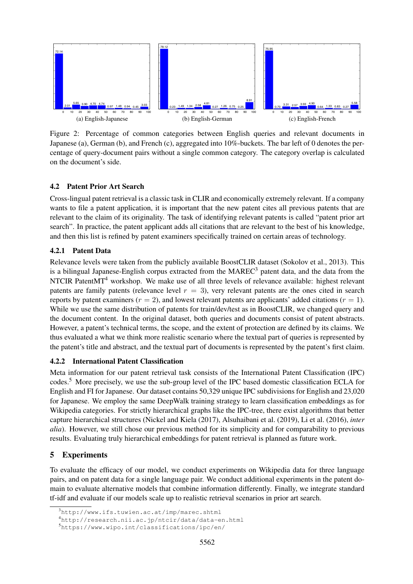

Figure 2: Percentage of common categories between English queries and relevant documents in Japanese (a), German (b), and French (c), aggregated into 10%-buckets. The bar left of 0 denotes the percentage of query-document pairs without a single common category. The category overlap is calculated on the document's side.

### 4.2 Patent Prior Art Search

Cross-lingual patent retrieval is a classic task in CLIR and economically extremely relevant. If a company wants to file a patent application, it is important that the new patent cites all previous patents that are relevant to the claim of its originality. The task of identifying relevant patents is called "patent prior art search". In practice, the patent applicant adds all citations that are relevant to the best of his knowledge, and then this list is refined by patent examiners specifically trained on certain areas of technology.

### 4.2.1 Patent Data

Relevance levels were taken from the publicly available BoostCLIR dataset (Sokolov et al., 2013). This is a bilingual Japanese-English corpus extracted from the MAREC<sup>3</sup> patent data, and the data from the NTCIR PatentMT<sup>4</sup> workshop. We make use of all three levels of relevance available: highest relevant patents are family patents (relevance level  $r = 3$ ), very relevant patents are the ones cited in search reports by patent examiners  $(r = 2)$ , and lowest relevant patents are applicants' added citations  $(r = 1)$ . While we use the same distribution of patents for train/dev/test as in BoostCLIR, we changed query and the document content. In the original dataset, both queries and documents consist of patent abstracts. However, a patent's technical terms, the scope, and the extent of protection are defined by its claims. We thus evaluated a what we think more realistic scenario where the textual part of queries is represented by the patent's title and abstract, and the textual part of documents is represented by the patent's first claim.

#### 4.2.2 International Patent Classification

Meta information for our patent retrieval task consists of the International Patent Classification (IPC) codes.<sup>5</sup> More precisely, we use the sub-group level of the IPC based domestic classification ECLA for English and FI for Japanese. Our dataset contains 50,329 unique IPC subdivisions for English and 23,020 for Japanese. We employ the same DeepWalk training strategy to learn classification embeddings as for Wikipedia categories. For strictly hierarchical graphs like the IPC-tree, there exist algorithms that better capture hierarchical structures (Nickel and Kiela (2017), Alsuhaibani et al. (2019), Li et al. (2016), *inter alia*). However, we still chose our previous method for its simplicity and for comparability to previous results. Evaluating truly hierarchical embeddings for patent retrieval is planned as future work.

# 5 Experiments

To evaluate the efficacy of our model, we conduct experiments on Wikipedia data for three language pairs, and on patent data for a single language pair. We conduct additional experiments in the patent domain to evaluate alternative models that combine information differently. Finally, we integrate standard tf-idf and evaluate if our models scale up to realistic retrieval scenarios in prior art search.

 $3$ http://www.ifs.tuwien.ac.at/imp/marec.shtml

<sup>4</sup>http://research.nii.ac.jp/ntcir/data/data-en.html

<sup>5</sup>https://www.wipo.int/classifications/ipc/en/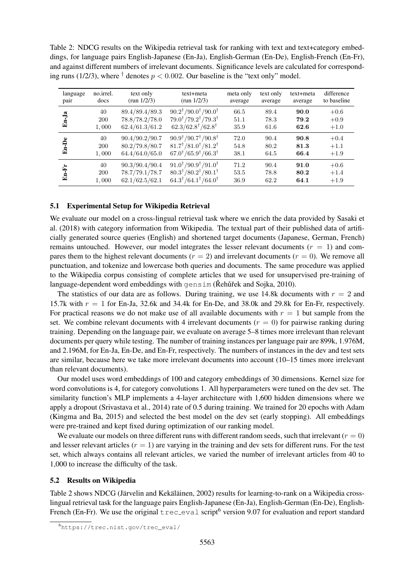Table 2: NDCG results on the Wikipedia retrieval task for ranking with text and text+category embeddings, for language pairs English-Japanese (En-Ja), English-German (En-De), English-French (En-Fr), and against different numbers of irrelevant documents. Significance levels are calculated for corresponding runs (1/2/3), where  $\dagger$  denotes  $p < 0.002$ . Our baseline is the "text only" model.

| language | no.irrel.  | text only      | text+meta                                                 | meta only | text only | text+meta | difference  |
|----------|------------|----------------|-----------------------------------------------------------|-----------|-----------|-----------|-------------|
| pair     | docs       | (run $1/2/3$ ) | (run $1/2/3$ )                                            | average   | average   | average   | to baseline |
| En-Ja    | 40         | 89.4/89.4/89.3 | $90.2^{\dagger}/90.0^{\dagger}/90.0^{\dagger}$            | 66.5      | 89.4      | 90.0      | $+0.6$      |
|          | <b>200</b> | 78.8/78.2/78.0 | $79.0^{\dagger}/79.2^{\dagger}/79.3^{\dagger}$            | 51.1      | 78.3      | 79.2      | $+0.9$      |
|          | 1,000      | 62.4/61.3/61.2 | $62.3/62.8^{\dagger}/62.8^{\dagger}$                      | 35.9      | 61.6      | 62.6      | $+1.0$      |
| En-De    | 40         | 90.4/90.2/90.7 | $90.9^{\dagger}/90.7^{\dagger}/90.8^{\dagger}$            | 72.0      | 90.4      | 90.8      | $+0.4$      |
|          | <b>200</b> | 80.2/79.8/80.7 | $81.7^{\dagger}/81.0^{\dagger}/81.2^{\dagger}$            | 54.8      | 80.2      | 81.3      | $+1.1$      |
|          | 1,000      | 64.4/64.0/65.0 | $67.0$ <sup>†</sup> /65.9 <sup>†</sup> /66.3 <sup>†</sup> | 38.1      | 64.5      | 66.4      | $+1.9$      |
| En-Fr    | 40         | 90.3/90.4/90.4 | $91.0^{\dagger}/90.9^{\dagger}/91.0^{\dagger}$            | 71.2      | 90.4      | 91.0      | $+0.6$      |
|          | <b>200</b> | 78.7/79.1/78.7 | $80.3^{\dagger}/80.2^{\dagger}/80.1^{\dagger}$            | 53.5      | 78.8      | 80.2      | $+1.4$      |
|          | 1,000      | 62.1/62.5/62.1 | $64.3^{\dagger}/64.1^{\dagger}/64.0^{\dagger}$            | 36.9      | 62.2      | 64.1      | $+1.9$      |

#### 5.1 Experimental Setup for Wikipedia Retrieval

We evaluate our model on a cross-lingual retrieval task where we enrich the data provided by Sasaki et al. (2018) with category information from Wikipedia. The textual part of their published data of artificially generated source queries (English) and shortened target documents (Japanese, German, French) remains untouched. However, our model integrates the lesser relevant documents  $(r = 1)$  and compares them to the highest relevant documents ( $r = 2$ ) and irrelevant documents ( $r = 0$ ). We remove all punctuation, and tokenize and lowercase both queries and documents. The same procedure was applied to the Wikipedia corpus consisting of complete articles that we used for unsupervised pre-training of language-dependent word embeddings with gensim ( $\check{R}$ eh  $\check{\mu}$ èk and Sojka, 2010).

The statistics of our data are as follows. During training, we use 14.8k documents with  $r = 2$  and 15.7k with  $r = 1$  for En-Ja, 32.6k and 34.4k for En-De, and 38.0k and 29.8k for En-Fr, respectively. For practical reasons we do not make use of all available documents with  $r = 1$  but sample from the set. We combine relevant documents with 4 irrelevant documents  $(r = 0)$  for pairwise ranking during training. Depending on the language pair, we evaluate on average 5–8 times more irrelevant than relevant documents per query while testing. The number of training instances per language pair are 899k, 1.976M, and 2.196M, for En-Ja, En-De, and En-Fr, respectively. The numbers of instances in the dev and test sets are similar, because here we take more irrelevant documents into account (10–15 times more irrelevant than relevant documents).

Our model uses word embeddings of 100 and category embeddings of 30 dimensions. Kernel size for word convolutions is 4, for category convolutions 1. All hyperparameters were tuned on the dev set. The similarity function's MLP implements a 4-layer architecture with 1,600 hidden dimensions where we apply a dropout (Srivastava et al., 2014) rate of 0.5 during training. We trained for 20 epochs with Adam (Kingma and Ba, 2015) and selected the best model on the dev set (early stopping). All embeddings were pre-trained and kept fixed during optimization of our ranking model.

We evaluate our models on three different runs with different random seeds, such that irrelevant  $(r = 0)$ and lesser relevant articles  $(r = 1)$  are varying in the training and dev sets for different runs. For the test set, which always contains all relevant articles, we varied the number of irrelevant articles from 40 to 1,000 to increase the difficulty of the task.

#### 5.2 Results on Wikipedia

Table 2 shows NDCG (Järvelin and Kekäläinen, 2002) results for learning-to-rank on a Wikipedia crosslingual retrieval task for the language pairs English-Japanese (En-Ja), English-German (En-De), English-French (En-Fr). We use the original  $\text{tree}$ -eval script<sup>6</sup> version 9.07 for evaluation and report standard

<sup>6</sup>https://trec.nist.gov/trec\_eval/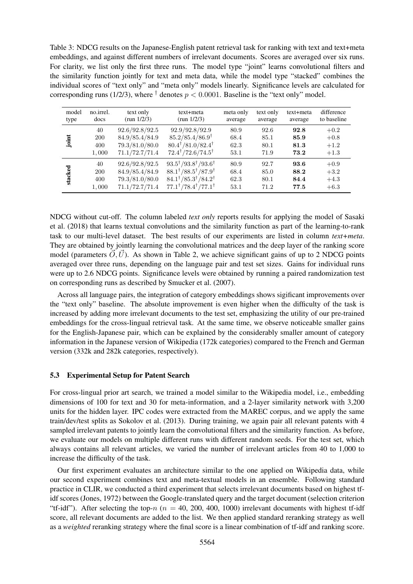Table 3: NDCG results on the Japanese-English patent retrieval task for ranking with text and text+meta embeddings, and against different numbers of irrelevant documents. Scores are averaged over six runs. For clarity, we list only the first three runs. The model type "joint" learns convolutional filters and the similarity function jointly for text and meta data, while the model type "stacked" combines the individual scores of "text only" and "meta only" models linearly. Significance levels are calculated for corresponding runs (1/2/3), where  $^{\dagger}$  denotes  $p < 0.0001$ . Baseline is the "text only" model.

| model   | no.irrel.  | text only      | text+meta                                      | meta only | text only | text+meta | difference  |
|---------|------------|----------------|------------------------------------------------|-----------|-----------|-----------|-------------|
| type    | docs       | (run $1/2/3$ ) | (run $1/2/3$ )                                 | average   | average   | average   | to baseline |
| joint   | 40         | 92.6/92.8/92.5 | 92.9/92.8/92.9                                 | 80.9      | 92.6      | 92.8      | $+0.2$      |
|         | <b>200</b> | 84.9/85.4/84.9 | $85.2/85.4/86.9$ <sup>†</sup>                  | 68.4      | 85.1      | 85.9      | $+0.8$      |
|         | 400        | 79.3/81.0/80.0 | $80.4^{\dagger}/81.0/82.4^{\dagger}$           | 62.3      | 80.1      | 81.3      | $+1.2$      |
|         | 1,000      | 71.1/72.7/71.4 | $72.4^{\dagger}/72.6/74.5^{\dagger}$           | 53.1      | 71.9      | 73.2      | $+1.3$      |
| stacked | 40         | 92.6/92.8/92.5 | $93.5^{\dagger}/93.8^{\dagger}/93.6^{\dagger}$ | 80.9      | 92.7      | 93.6      | $+0.9$      |
|         | <b>200</b> | 84.9/85.4/84.9 | $88.1^{\dagger}/88.5^{\dagger}/87.9^{\dagger}$ | 68.4      | 85.0      | 88.2      | $+3.2$      |
|         | 400        | 79.3/81.0/80.0 | $84.1^{\dagger}/85.3^{\dagger}/84.2^{\dagger}$ | 62.3      | 80.1      | 84.4      | $+4.3$      |
|         | 1,000      | 71.1/72.7/71.4 | $77.1^{\dagger}/78.4^{\dagger}/77.1^{\dagger}$ | 53.1      | 71.2      | 77.5      | $+6.3$      |

NDCG without cut-off. The column labeled *text only* reports results for applying the model of Sasaki et al. (2018) that learns textual convolutions and the similarity function as part of the learning-to-rank task to our multi-level dataset. The best results of our experiments are listed in column *text+meta*. They are obtained by jointly learning the convolutional matrices and the deep layer of the ranking score model (parameters  $\vec{O}$ ,  $\vec{U}$ ). As shown in Table 2, we achieve significant gains of up to 2 NDCG points averaged over three runs, depending on the language pair and test set sizes. Gains for individual runs were up to 2.6 NDCG points. Significance levels were obtained by running a paired randomization test on corresponding runs as described by Smucker et al. (2007).

Across all language pairs, the integration of category embeddings shows sigificant improvements over the "text only" baseline. The absolute improvement is even higher when the difficulty of the task is increased by adding more irrelevant documents to the test set, emphasizing the utility of our pre-trained embeddings for the cross-lingual retrieval task. At the same time, we observe noticeable smaller gains for the English-Japanese pair, which can be explained by the considerably smaller amount of category information in the Japanese version of Wikipedia (172k categories) compared to the French and German version (332k and 282k categories, respectively).

#### 5.3 Experimental Setup for Patent Search

For cross-lingual prior art search, we trained a model similar to the Wikipedia model, i.e., embedding dimensions of 100 for text and 30 for meta-information, and a 2-layer similarity network with 3,200 units for the hidden layer. IPC codes were extracted from the MAREC corpus, and we apply the same train/dev/test splits as Sokolov et al. (2013). During training, we again pair all relevant patents with 4 sampled irrelevant patents to jointly learn the convolutional filters and the similarity function. As before, we evaluate our models on multiple different runs with different random seeds. For the test set, which always contains all relevant articles, we varied the number of irrelevant articles from 40 to 1,000 to increase the difficulty of the task.

Our first experiment evaluates an architecture similar to the one applied on Wikipedia data, while our second experiment combines text and meta-textual models in an ensemble. Following standard practice in CLIR, we conducted a third experiment that selects irrelevant documents based on highest tfidf scores (Jones, 1972) between the Google-translated query and the target document (selection criterion "tf-idf"). After selecting the top-n ( $n = 40, 200, 400, 1000$ ) irrelevant documents with highest tf-idf score, all relevant documents are added to the list. We then applied standard reranking strategy as well as a *weighted* reranking strategy where the final score is a linear combination of tf-idf and ranking score.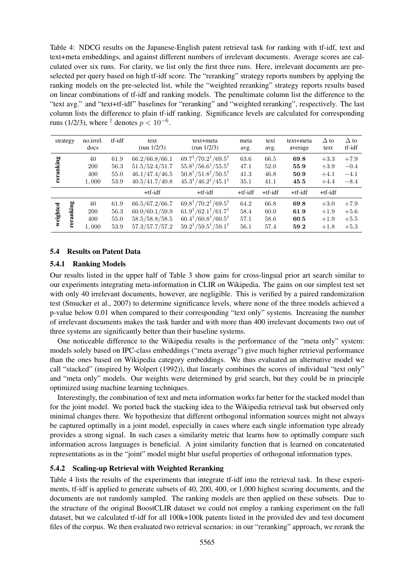Table 4: NDCG results on the Japanese-English patent retrieval task for ranking with tf-idf, text and text+meta embeddings, and against different numbers of irrelevant documents. Average scores are calculated over six runs. For clarity, we list only the first three runs. Here, irrelevant documents are preselected per query based on high tf-idf score. The "reranking" strategy reports numbers by applying the ranking models on the pre-selected list, while the "weighted reranking" strategy reports results based on linear combinations of tf-idf and ranking models. The penultimate column list the difference to the "text avg." and "text+tf-idf" baselines for "reranking" and "weighted reranking", respectively. The last column lists the difference to plain tf-idf ranking. Significance levels are calculated for corresponding runs (1/2/3), where <sup>†</sup> denotes  $p < 10^{-6}$ .

| strategy              | no.irrel.<br>docs                | tf-idf                       | text<br>(run $1/2/3$ )                                               | text+meta<br>(run $1/2/3$ )                                                                                                                                                                          | meta<br>avg.                 | text<br>avg.                 | text+meta<br>average         | $\Delta$ to<br>text                  | $\Delta$ to<br>tf-idf                |
|-----------------------|----------------------------------|------------------------------|----------------------------------------------------------------------|------------------------------------------------------------------------------------------------------------------------------------------------------------------------------------------------------|------------------------------|------------------------------|------------------------------|--------------------------------------|--------------------------------------|
| reranking             | 40<br><b>200</b><br>400<br>1,000 | 61.9<br>56.3<br>55.0<br>53.9 | 66.2/66.8/66.1<br>51.5/52.4/51.7<br>46.1/47.4/46.5<br>40.5/41.7/40.8 | $69.7^{\dagger}/70.2^{\dagger}/69.5^{\dagger}$<br>$55.8^{\dagger}/56.6^{\dagger}/55.5^{\dagger}$<br>$50.8^{\dagger}/51.8^{\dagger}/50.5^{\dagger}$<br>$45.3^{\dagger}/46.2^{\dagger}/45.1^{\dagger}$ | 63.6<br>47.1<br>41.3<br>35.1 | 66.5<br>52.0<br>46.8<br>41.1 | 69.8<br>55.9<br>50.9<br>45.5 | $+3.3$<br>$+3.9$<br>$+4.1$<br>$+4.4$ | $+7.9$<br>$-0.4$<br>$-4.1$<br>$-8.4$ |
|                       |                                  |                              | $+tf-idf$                                                            | $+tf-idf$                                                                                                                                                                                            | $+tf-idf$                    | $+tf-idf$                    | $+tf-idf$                    | $+tf-idf$                            |                                      |
| reranking<br>weighted | 40<br><b>200</b><br>400<br>1,000 | 61.9<br>56.3<br>55.0<br>53.9 | 66.5/67.2/66.7<br>60.0/60.1/59.9<br>58.5/58.8/58.5<br>57.3/57.7/57.2 | $69.8^{\dagger}/70.2^{\dagger}/69.5^{\dagger}$<br>$61.9^{\dagger}/62.1^{\dagger}/61.7^{\dagger}$<br>$60.4^{\dagger}/60.8^{\dagger}/60.5^{\dagger}$<br>$59.2^{\dagger}/59.5^{\dagger}/59.1^{\dagger}$ | 64.2<br>58.4<br>57.1<br>56.1 | 66.8<br>60.0<br>58.6<br>57.4 | 69.8<br>61.9<br>60.5<br>59.2 | $+3.0$<br>$+1.9$<br>$+1.9$<br>$+1.8$ | $+7.9$<br>$+5.6$<br>$+5.5$<br>$+5.3$ |

### 5.4 Results on Patent Data

#### 5.4.1 Ranking Models

Our results listed in the upper half of Table 3 show gains for cross-lingual prior art search similar to our experiments integrating meta-information in CLIR on Wikipedia. The gains on our simplest test set with only 40 irrelevant documents, however, are negligible. This is verified by a paired randomization test (Smucker et al., 2007) to determine significance levels, where none of the three models achieved a p-value below 0.01 when compared to their corresponding "text only" systems. Increasing the number of irrelevant documents makes the task harder and with more than 400 irrelevant documents two out of three systems are significantly better than their baseline systems.

One noticeable difference to the Wikipedia results is the performance of the "meta only" system: models solely based on IPC-class embeddings ("meta average") give much higher retrieval performance than the ones based on Wikipedia category embeddings. We thus evaluated an alternative model we call "stacked" (inspired by Wolpert (1992)), that linearly combines the scores of individual "text only" and "meta only" models. Our weights were determined by grid search, but they could be in principle optimized using machine learning techniques.

Interestingly, the combination of text and meta information works far better for the stacked model than for the joint model. We ported back the stacking idea to the Wikipedia retrieval task but observed only minimal changes there. We hypothesize that different orthogonal information sources might not always be captured optimally in a joint model, especially in cases where each single information type already provides a strong signal. In such cases a similarity metric that learns how to optimally compare such information across languages is beneficial. A joint similarity function that is learned on concatenated representations as in the "joint" model might blur useful properties of orthogonal information types.

# 5.4.2 Scaling-up Retrieval with Weighted Reranking

Table 4 lists the results of the experiments that integrate tf-idf into the retrieval task. In these experiments, tf-idf is applied to generate subsets of 40, 200, 400, or 1,000 highest scoring documents, and the documents are not randomly sampled. The ranking models are then applied on these subsets. Due to the structure of the original BoostCLIR dataset we could not employ a ranking experiment on the full dataset, but we calculated tf-idf for all 100k+100k patents listed in the provided dev and test document files of the corpus. We then evaluated two retrieval scenarios: in our "reranking" approach, we rerank the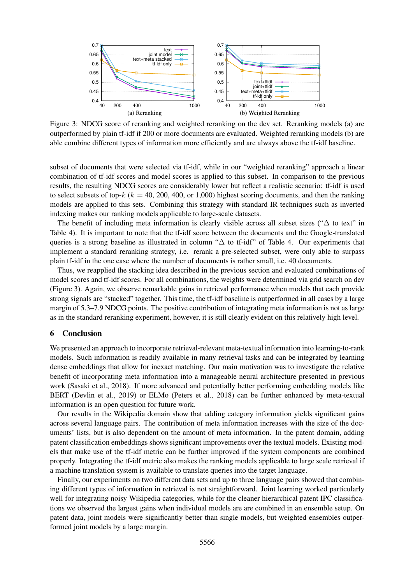

Figure 3: NDCG score of reranking and weighted reranking on the dev set. Reranking models (a) are outperformed by plain tf-idf if 200 or more documents are evaluated. Weighted reranking models (b) are able combine different types of information more efficiently and are always above the tf-idf baseline.

subset of documents that were selected via tf-idf, while in our "weighted reranking" approach a linear combination of tf-idf scores and model scores is applied to this subset. In comparison to the previous results, the resulting NDCG scores are considerably lower but reflect a realistic scenario: tf-idf is used to select subsets of top- $k$  ( $k = 40, 200, 400,$  or 1,000) highest scoring documents, and then the ranking models are applied to this sets. Combining this strategy with standard IR techniques such as inverted indexing makes our ranking models applicable to large-scale datasets.

The benefit of including meta information is clearly visible across all subset sizes ("∆ to text" in Table 4). It is important to note that the tf-idf score between the documents and the Google-translated queries is a strong baseline as illustrated in column "∆ to tf-idf" of Table 4. Our experiments that implement a standard reranking strategy, i.e. rerank a pre-selected subset, were only able to surpass plain tf-idf in the one case where the number of documents is rather small, i.e. 40 documents.

Thus, we reapplied the stacking idea described in the previous section and evaluated combinations of model scores and tf-idf scores. For all combinations, the weights were determined via grid search on dev (Figure 3). Again, we observe remarkable gains in retrieval performance when models that each provide strong signals are "stacked" together. This time, the tf-idf baseline is outperformed in all cases by a large margin of 5.3–7.9 NDCG points. The positive contribution of integrating meta information is not as large as in the standard reranking experiment, however, it is still clearly evident on this relatively high level.

### 6 Conclusion

We presented an approach to incorporate retrieval-relevant meta-textual information into learning-to-rank models. Such information is readily available in many retrieval tasks and can be integrated by learning dense embeddings that allow for inexact matching. Our main motivation was to investigate the relative benefit of incorporating meta information into a manageable neural architecture presented in previous work (Sasaki et al., 2018). If more advanced and potentially better performing embedding models like BERT (Devlin et al., 2019) or ELMo (Peters et al., 2018) can be further enhanced by meta-textual information is an open question for future work.

Our results in the Wikipedia domain show that adding category information yields significant gains across several language pairs. The contribution of meta information increases with the size of the documents' lists, but is also dependent on the amount of meta information. In the patent domain, adding patent classification embeddings shows significant improvements over the textual models. Existing models that make use of the tf-idf metric can be further improved if the system components are combined properly. Integrating the tf-idf metric also makes the ranking models applicable to large scale retrieval if a machine translation system is available to translate queries into the target language.

Finally, our experiments on two different data sets and up to three language pairs showed that combining different types of information in retrieval is not straightforward. Joint learning worked particularly well for integrating noisy Wikipedia categories, while for the cleaner hierarchical patent IPC classifications we observed the largest gains when individual models are are combined in an ensemble setup. On patent data, joint models were significantly better than single models, but weighted ensembles outperformed joint models by a large margin.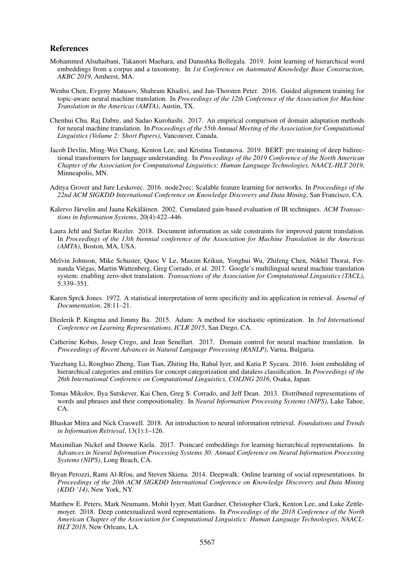#### References

- Mohammed Alsuhaibani, Takanori Maehara, and Danushka Bollegala. 2019. Joint learning of hierarchical word embeddings from a corpus and a taxonomy. In *1st Conference on Automated Knowledge Base Construction, AKBC 2019*, Amherst, MA.
- Wenhu Chen, Evgeny Matusov, Shahram Khadivi, and Jan-Thorsten Peter. 2016. Guided alignment training for topic-aware neural machine translation. In *Proceedings of the 12th Conference of the Association for Machine Translation in the Americas (AMTA)*, Austin, TX.
- Chenhui Chu, Raj Dabre, and Sadao Kurohashi. 2017. An empirical comparison of domain adaptation methods for neural machine translation. In *Proceedings of the 55th Annual Meeting of the Association for Computational Linguistics (Volume 2: Short Papers)*, Vancouver, Canada.
- Jacob Devlin, Ming-Wei Chang, Kenton Lee, and Kristina Toutanova. 2019. BERT: pre-training of deep bidirectional transformers for language understanding. In *Proceedings of the 2019 Conference of the North American Chapter of the Association for Computational Linguistics: Human Language Technologies, NAACL-HLT 2019*, Minneapolis, MN.
- Aditya Grover and Jure Leskovec. 2016. node2vec: Scalable feature learning for networks. In *Proceedings of the 22nd ACM SIGKDD International Conference on Knowledge Discovery and Data Mining*, San Francisco, CA.
- Kalervo Järvelin and Jaana Kekäläinen. 2002. Cumulated gain-based evaluation of IR techniques. ACM Transac*tions in Information Systems*, 20(4):422–446.
- Laura Jehl and Stefan Riezler. 2018. Document information as side constraints for improved patent translation. In *Proceedings of the 13th biennial conference of the Association for Machine Translation in the Americas (AMTA)*, Boston, MA, USA.
- Melvin Johnson, Mike Schuster, Quoc V Le, Maxim Krikun, Yonghui Wu, Zhifeng Chen, Nikhil Thorat, Fernanda Viegas, Martin Wattenberg, Greg Corrado, et al. 2017. Google's multilingual neural machine translation ´ system: enabling zero-shot translation. *Transactions of the Association for Computational Linguistics (TACL)*, 5:339–351.
- Karen Sprck Jones. 1972. A statistical interpretation of term specificity and its application in retrieval. *Journal of Documentation*, 28:11–21.
- Diederik P. Kingma and Jimmy Ba. 2015. Adam: A method for stochastic optimization. In *3rd International Conference on Learning Representations, ICLR 2015*, San Diego, CA.
- Catherine Kobus, Josep Crego, and Jean Senellart. 2017. Domain control for neural machine translation. In *Proceedings of Recent Advances in Natural Language Processing (RANLP)*, Varna, Bulgaria.
- Yuezhang Li, Ronghuo Zheng, Tian Tian, Zhiting Hu, Rahul Iyer, and Katia P. Sycara. 2016. Joint embedding of hierarchical categories and entities for concept categorization and dataless classification. In *Proceedings of the 26th International Conference on Computational Linguistics, COLING 2016*, Osaka, Japan.
- Tomas Mikolov, Ilya Sutskever, Kai Chen, Greg S. Corrado, and Jeff Dean. 2013. Distributed representations of words and phrases and their compositionality. In *Neural Information Processing Systems (NIPS)*, Lake Tahoe, CA.
- Bhaskar Mitra and Nick Craswell. 2018. An introduction to neural information retrieval. *Foundations and Trends in Information Retrieval*, 13(1):1–126.
- Maximilian Nickel and Douwe Kiela. 2017. Poincaré embeddings for learning hierarchical representations. In *Advances in Neural Information Processing Systems 30: Annual Conference on Neural Information Processing Systems (NIPS)*, Long Beach, CA.
- Bryan Perozzi, Rami Al-Rfou, and Steven Skiena. 2014. Deepwalk: Online learning of social representations. In *Proceedings of the 20th ACM SIGKDD International Conference on Knowledge Discovery and Data Mining (KDD '14)*, New York, NY.
- Matthew E. Peters, Mark Neumann, Mohit Iyyer, Matt Gardner, Christopher Clark, Kenton Lee, and Luke Zettlemoyer. 2018. Deep contextualized word representations. In *Proceedings of the 2018 Conference of the North American Chapter of the Association for Computational Linguistics: Human Language Technologies, NAACL-HLT 2018*, New Orleans, LA.